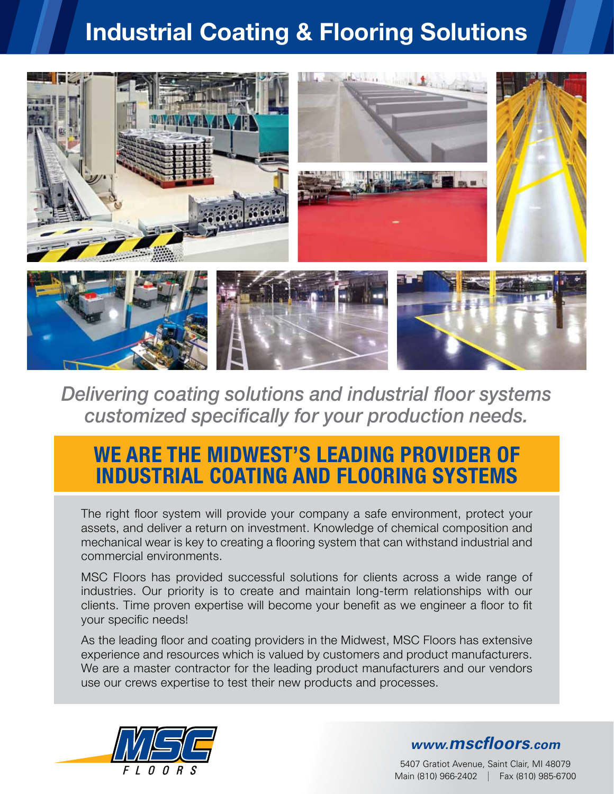## **Industrial Coating & Flooring Solutions**



### *Delivering coating solutions and industrial floor systems customized specifically for your production needs.*

## **We are the Midwest'S leading provider of industrial coating and flooring systems**

The right floor system will provide your company a safe environment, protect your assets, and deliver a return on investment. Knowledge of chemical composition and mechanical wear is key to creating a flooring system that can withstand industrial and commercial environments.

MSC Floors has provided successful solutions for clients across a wide range of industries. Our priority is to create and maintain long-term relationships with our clients. Time proven expertise will become your benefit as we engineer a floor to fit your specific needs!

As the leading floor and coating providers in the Midwest, MSC Floors has extensive experience and resources which is valued by customers and product manufacturers. We are a master contractor for the leading product manufacturers and our vendors use our crews expertise to test their new products and processes.



*www.mscfloors.com*

*<sup>F</sup> <sup>L</sup> <sup>O</sup> <sup>O</sup> <sup>R</sup> <sup>S</sup>* 5407 Gratiot Avenue, Saint Clair, MI 48079 Main (810) 966-2402 | Fax (810) 985-6700